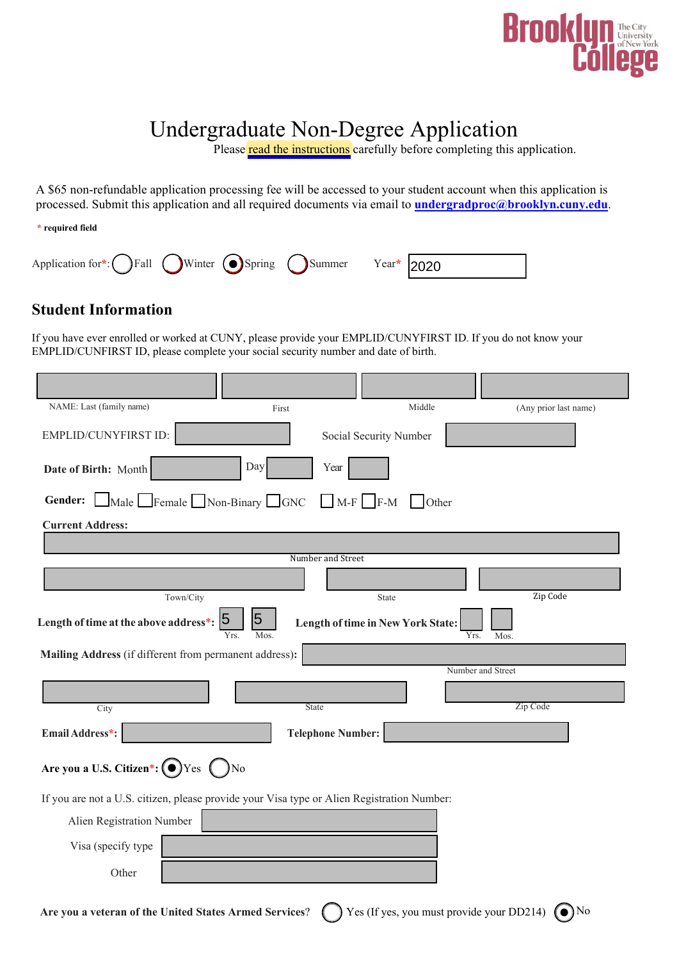

# Undergraduate Non-Degree Application

Please [read the instructions](http://www.brooklyn.cuny.edu/web/admissions/other/nondegree.php) carefully before completing this application.

A \$65 non-refundable application processing fee will be accessed to your student account when this application is processed. Submit this application and all required documents via email to **[undergradproc@brooklyn.cuny.edu](mailto:undergradproc@brooklyn.cuny.edu)**.

**\* required field**

| Application for*: $\bigcirc$ Fall $\bigcirc$ Winter $\bigcirc$ Spring $\bigcirc$ Summer Year* 2020 |  |  |  |
|----------------------------------------------------------------------------------------------------|--|--|--|

### **Student Information**

If you have ever enrolled or worked at CUNY, please provide your EMPLID/CUNYFIRST ID. If you do not know your EMPLID/CUNFIRST ID, please complete your social security number and date of birth.

| NAME: Last (family name)                                                                   | First                               | Middle                             | (Any prior last name) |  |  |  |  |
|--------------------------------------------------------------------------------------------|-------------------------------------|------------------------------------|-----------------------|--|--|--|--|
| EMPLID/CUNYFIRST ID:                                                                       |                                     | Social Security Number             |                       |  |  |  |  |
| Date of Birth: Month                                                                       | Day<br>Year                         |                                    |                       |  |  |  |  |
| Gender:<br>$\Box$ Male $\Box$ Female $\Box$ Non-Binary $\Box$ GNC                          |                                     | $\Box$ M-F $\Box$ F-M $\Box$ Other |                       |  |  |  |  |
| <b>Current Address:</b>                                                                    |                                     |                                    |                       |  |  |  |  |
|                                                                                            |                                     |                                    |                       |  |  |  |  |
|                                                                                            | Number and Street                   |                                    |                       |  |  |  |  |
|                                                                                            |                                     |                                    |                       |  |  |  |  |
| Town/City                                                                                  |                                     | State                              | Zip Code              |  |  |  |  |
| Length of time at the above address*:                                                      | 5<br>$\overline{5}$<br>Yrs.<br>Mos. | Length of time in New York State:  | Yrs.<br>Mos.          |  |  |  |  |
| Mailing Address (if different from permanent address):                                     |                                     |                                    |                       |  |  |  |  |
|                                                                                            |                                     |                                    | Number and Street     |  |  |  |  |
|                                                                                            |                                     |                                    | Zip Code              |  |  |  |  |
| City                                                                                       | State                               |                                    |                       |  |  |  |  |
| Email Address*:                                                                            | <b>Telephone Number:</b>            |                                    |                       |  |  |  |  |
| Are you a U.S. Citizen*: $\bigcirc$ Yes $\bigcirc$                                         | No                                  |                                    |                       |  |  |  |  |
| If you are not a U.S. citizen, please provide your Visa type or Alien Registration Number: |                                     |                                    |                       |  |  |  |  |
| Alien Registration Number                                                                  |                                     |                                    |                       |  |  |  |  |
| Visa (specify type                                                                         |                                     |                                    |                       |  |  |  |  |
| Other                                                                                      |                                     |                                    |                       |  |  |  |  |
|                                                                                            |                                     |                                    |                       |  |  |  |  |

Are you a veteran of the United States Armed Services? (C) Yes (If yes, you must provide your DD214)  $\textcircled{\bullet}$  No